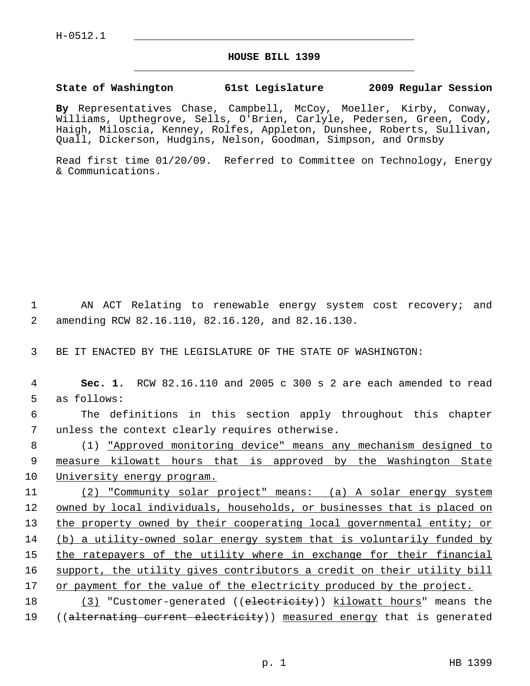## **HOUSE BILL 1399** \_\_\_\_\_\_\_\_\_\_\_\_\_\_\_\_\_\_\_\_\_\_\_\_\_\_\_\_\_\_\_\_\_\_\_\_\_\_\_\_\_\_\_\_\_

## **State of Washington 61st Legislature 2009 Regular Session**

**By** Representatives Chase, Campbell, McCoy, Moeller, Kirby, Conway, Williams, Upthegrove, Sells, O'Brien, Carlyle, Pedersen, Green, Cody, Haigh, Miloscia, Kenney, Rolfes, Appleton, Dunshee, Roberts, Sullivan, Quall, Dickerson, Hudgins, Nelson, Goodman, Simpson, and Ormsby

Read first time 01/20/09. Referred to Committee on Technology, Energy & Communications.

 1 AN ACT Relating to renewable energy system cost recovery; and 2 amending RCW 82.16.110, 82.16.120, and 82.16.130.

3 BE IT ENACTED BY THE LEGISLATURE OF THE STATE OF WASHINGTON:

 4 **Sec. 1.** RCW 82.16.110 and 2005 c 300 s 2 are each amended to read 5 as follows:

 6 The definitions in this section apply throughout this chapter 7 unless the context clearly requires otherwise.

 8 (1) "Approved monitoring device" means any mechanism designed to 9 measure kilowatt hours that is approved by the Washington State 10 University energy program.

11 (2) "Community solar project" means: (a) A solar energy system 12 owned by local individuals, households, or businesses that is placed on 13 the property owned by their cooperating local governmental entity; or 14 (b) a utility-owned solar energy system that is voluntarily funded by 15 the ratepayers of the utility where in exchange for their financial 16 support, the utility gives contributors a credit on their utility bill 17 or payment for the value of the electricity produced by the project.

18 (3) "Customer-generated ((electricity)) kilowatt hours" means the 19 ((alternating current electricity)) measured energy that is generated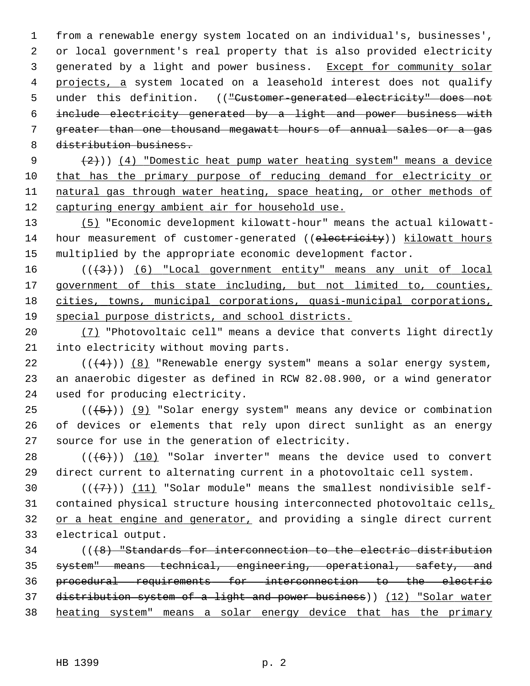1 from a renewable energy system located on an individual's, businesses', 2 or local government's real property that is also provided electricity 3 generated by a light and power business. Except for community solar 4 projects, a system located on a leasehold interest does not qualify 5 under this definition. (("Customer-generated electricity" does not 6 include electricity generated by a light and power business with 7 greater than one thousand megawatt hours of annual sales or a gas 8 distribution business.

 $(2)$ ) (4) "Domestic heat pump water heating system" means a device that has the primary purpose of reducing demand for electricity or natural gas through water heating, space heating, or other methods of capturing energy ambient air for household use.

13 (5) "Economic development kilowatt-hour" means the actual kilowatt-14 hour measurement of customer-generated ((electricity)) kilowatt hours 15 multiplied by the appropriate economic development factor.

 $((+3))$  (6) "Local government entity" means any unit of local government of this state including, but not limited to, counties, cities, towns, municipal corporations, quasi-municipal corporations, special purpose districts, and school districts.

20 (7) "Photovoltaic cell" means a device that converts light directly 21 into electricity without moving parts.

22  $((+4))$  (8) "Renewable energy system" means a solar energy system, 23 an anaerobic digester as defined in RCW 82.08.900, or a wind generator 24 used for producing electricity.

25  $((+5))$  (9) "Solar energy system" means any device or combination 26 of devices or elements that rely upon direct sunlight as an energy 27 source for use in the generation of electricity.

28  $((+6))$   $(10)$  "Solar inverter" means the device used to convert 29 direct current to alternating current in a photovoltaic cell system.

30  $((+7)^{n})$  (11) "Solar module" means the smallest nondivisible self-31 contained physical structure housing interconnected photovoltaic cells, 32 or a heat engine and generator, and providing a single direct current 33 electrical output.

34 (((8) "Standards for interconnection to the electric distribution system" means technical, engineering, operational, safety, and procedural requirements for interconnection to the electric distribution system of a light and power business)) (12) "Solar water heating system" means a solar energy device that has the primary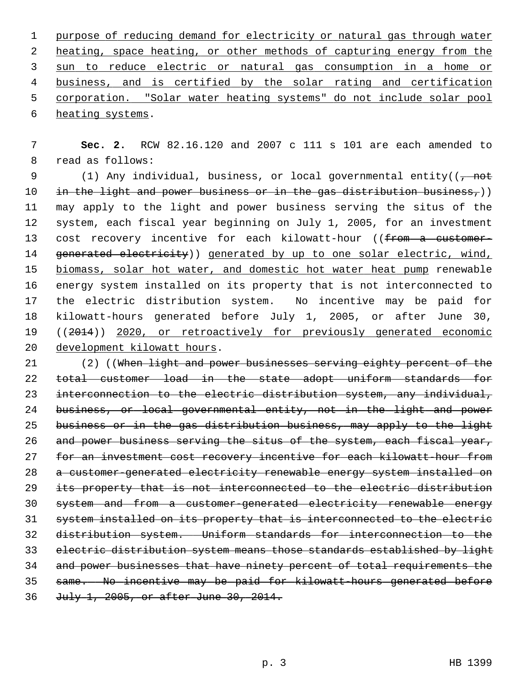purpose of reducing demand for electricity or natural gas through water heating, space heating, or other methods of capturing energy from the sun to reduce electric or natural gas consumption in a home or business, and is certified by the solar rating and certification corporation. "Solar water heating systems" do not include solar pool heating systems.

 7 **Sec. 2.** RCW 82.16.120 and 2007 c 111 s 101 are each amended to 8 read as follows:

9 (1) Any individual, business, or local governmental entity( $\left(\frac{1}{f}\right)$ 10 in the light and power business or in the gas distribution business,)) 11 may apply to the light and power business serving the situs of the 12 system, each fiscal year beginning on July 1, 2005, for an investment 13 cost recovery incentive for each kilowatt-hour ((from a customer-14 generated electricity)) generated by up to one solar electric, wind, 15 biomass, solar hot water, and domestic hot water heat pump renewable 16 energy system installed on its property that is not interconnected to 17 the electric distribution system. No incentive may be paid for 18 kilowatt-hours generated before July 1, 2005, or after June 30, 19 ((2014)) 2020, or retroactively for previously generated economic 20 development kilowatt hours.

21 (2) ((When light and power businesses serving eighty percent of the total customer load in the state adopt uniform standards for interconnection to the electric distribution system, any individual, business, or local governmental entity, not in the light and power business or in the gas distribution business, may apply to the light 26 and power business serving the situs of the system, each fiscal year, for an investment cost recovery incentive for each kilowatt-hour from a customer-generated electricity renewable energy system installed on its property that is not interconnected to the electric distribution system and from a customer-generated electricity renewable energy system installed on its property that is interconnected to the electric distribution system. Uniform standards for interconnection to the electric distribution system means those standards established by light and power businesses that have ninety percent of total requirements the same. No incentive may be paid for kilowatt-hours generated before July 1, 2005, or after June 30, 2014.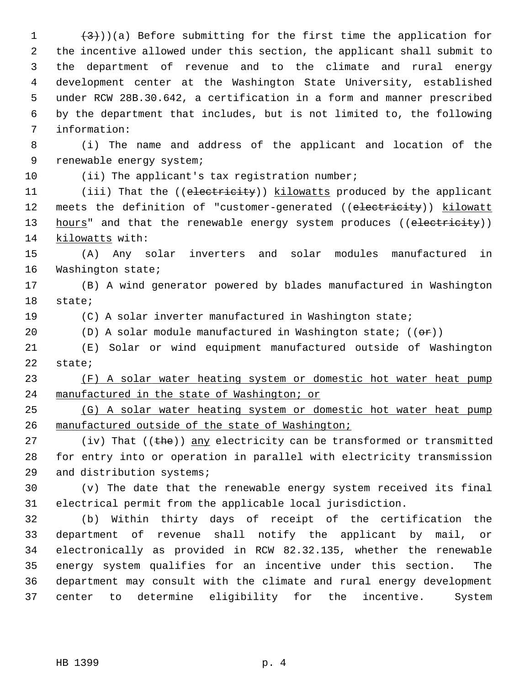1  $(3)$ ))(a) Before submitting for the first time the application for 2 the incentive allowed under this section, the applicant shall submit to 3 the department of revenue and to the climate and rural energy 4 development center at the Washington State University, established 5 under RCW 28B.30.642, a certification in a form and manner prescribed 6 by the department that includes, but is not limited to, the following 7 information:

 8 (i) The name and address of the applicant and location of the 9 renewable energy system;

10 (ii) The applicant's tax registration number;

11 (iii) That the ((electricity)) kilowatts produced by the applicant 12 meets the definition of "customer-generated ((electricity)) kilowatt 13 hours" and that the renewable energy system produces ((electricity)) 14 kilowatts with:

15 (A) Any solar inverters and solar modules manufactured in 16 Washington state;

17 (B) A wind generator powered by blades manufactured in Washington 18 state;

19 (C) A solar inverter manufactured in Washington state;

20  $(D)$  A solar module manufactured in Washington state;  $((\theta \cdot \mathbf{r}))$ 

21 (E) Solar or wind equipment manufactured outside of Washington 22 state;

23 (F) A solar water heating system or domestic hot water heat pump 24 manufactured in the state of Washington; or

25 (G) A solar water heating system or domestic hot water heat pump 26 manufactured outside of the state of Washington;

27 (iv) That  $((the)$  any electricity can be transformed or transmitted 28 for entry into or operation in parallel with electricity transmission 29 and distribution systems;

30 (v) The date that the renewable energy system received its final 31 electrical permit from the applicable local jurisdiction.

32 (b) Within thirty days of receipt of the certification the 33 department of revenue shall notify the applicant by mail, or 34 electronically as provided in RCW 82.32.135, whether the renewable 35 energy system qualifies for an incentive under this section. The 36 department may consult with the climate and rural energy development 37 center to determine eligibility for the incentive. System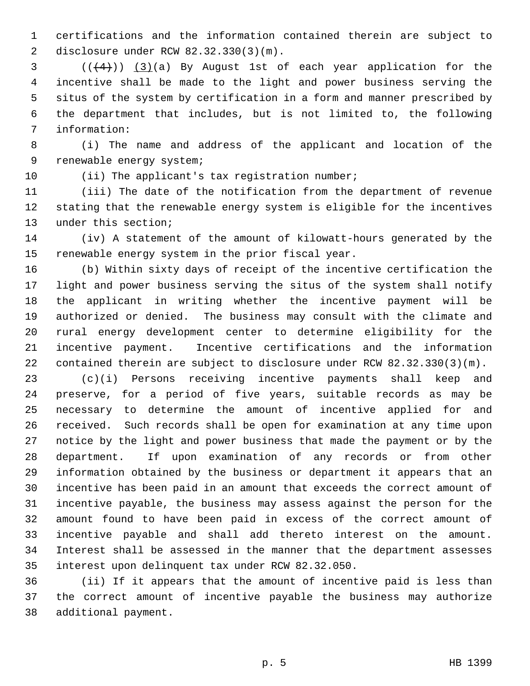1 certifications and the information contained therein are subject to 2 disclosure under RCW 82.32.330(3)(m).

 $(1 + 4)$ ) (3)(a) By August 1st of each year application for the 4 incentive shall be made to the light and power business serving the 5 situs of the system by certification in a form and manner prescribed by 6 the department that includes, but is not limited to, the following 7 information:

 8 (i) The name and address of the applicant and location of the 9 renewable energy system;

10 (ii) The applicant's tax registration number;

11 (iii) The date of the notification from the department of revenue 12 stating that the renewable energy system is eligible for the incentives 13 under this section;

14 (iv) A statement of the amount of kilowatt-hours generated by the 15 renewable energy system in the prior fiscal year.

16 (b) Within sixty days of receipt of the incentive certification the 17 light and power business serving the situs of the system shall notify 18 the applicant in writing whether the incentive payment will be 19 authorized or denied. The business may consult with the climate and 20 rural energy development center to determine eligibility for the 21 incentive payment. Incentive certifications and the information 22 contained therein are subject to disclosure under RCW 82.32.330(3)(m).

23 (c)(i) Persons receiving incentive payments shall keep and 24 preserve, for a period of five years, suitable records as may be 25 necessary to determine the amount of incentive applied for and 26 received. Such records shall be open for examination at any time upon 27 notice by the light and power business that made the payment or by the 28 department. If upon examination of any records or from other 29 information obtained by the business or department it appears that an 30 incentive has been paid in an amount that exceeds the correct amount of 31 incentive payable, the business may assess against the person for the 32 amount found to have been paid in excess of the correct amount of 33 incentive payable and shall add thereto interest on the amount. 34 Interest shall be assessed in the manner that the department assesses 35 interest upon delinquent tax under RCW 82.32.050.

36 (ii) If it appears that the amount of incentive paid is less than 37 the correct amount of incentive payable the business may authorize 38 additional payment.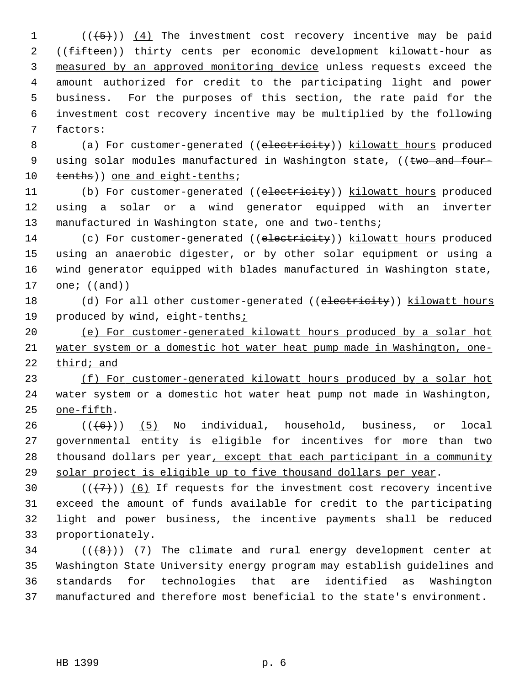1  $((+5))$   $(4)$  The investment cost recovery incentive may be paid 2 ((fifteen)) thirty cents per economic development kilowatt-hour as 3 measured by an approved monitoring device unless requests exceed the 4 amount authorized for credit to the participating light and power 5 business. For the purposes of this section, the rate paid for the 6 investment cost recovery incentive may be multiplied by the following 7 factors:

 8 (a) For customer-generated ((electricity)) kilowatt hours produced 9 using solar modules manufactured in Washington state, ((two and four-10 tenths)) one and eight-tenths;

11 (b) For customer-generated ((electricity)) kilowatt hours produced 12 using a solar or a wind generator equipped with an inverter 13 manufactured in Washington state, one and two-tenths;

14 (c) For customer-generated ((electricity)) kilowatt hours produced 15 using an anaerobic digester, or by other solar equipment or using a 16 wind generator equipped with blades manufactured in Washington state, 17 one;  $((and))$ 

18 (d) For all other customer-generated ((electricity)) kilowatt hours 19 produced by wind, eight-tenths;

20 (e) For customer-generated kilowatt hours produced by a solar hot 21 water system or a domestic hot water heat pump made in Washington, one-22 third; and

23 (f) For customer-generated kilowatt hours produced by a solar hot 24 water system or a domestic hot water heat pump not made in Washington, 25 one-fifth.

 $26$  ( $(\overline{6})$ ) (5) No individual, household, business, or local 27 governmental entity is eligible for incentives for more than two 28 thousand dollars per year, except that each participant in a community 29 solar project is eligible up to five thousand dollars per year.

30  $((+7)^{n})$  (6) If requests for the investment cost recovery incentive 31 exceed the amount of funds available for credit to the participating 32 light and power business, the incentive payments shall be reduced 33 proportionately.

 $34$  ( $(\overline{6})$ ) (7) The climate and rural energy development center at 35 Washington State University energy program may establish guidelines and 36 standards for technologies that are identified as Washington 37 manufactured and therefore most beneficial to the state's environment.